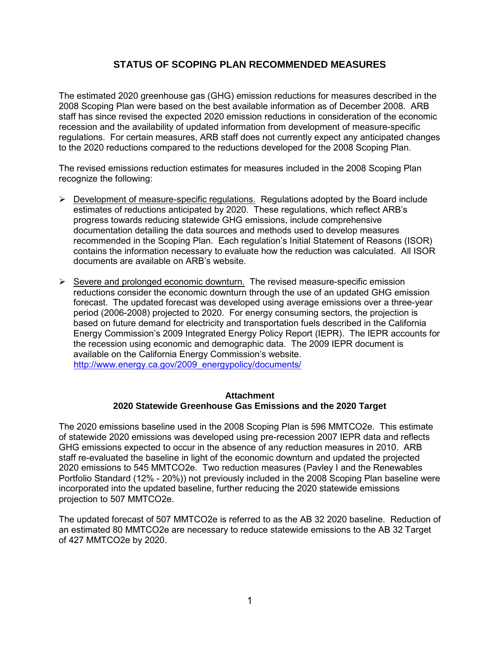### **STATUS OF SCOPING PLAN RECOMMENDED MEASURES**

The estimated 2020 greenhouse gas (GHG) emission reductions for measures described in the 2008 Scoping Plan were based on the best available information as of December 2008. ARB staff has since revised the expected 2020 emission reductions in consideration of the economic recession and the availability of updated information from development of measure-specific regulations. For certain measures, ARB staff does not currently expect any anticipated changes to the 2020 reductions compared to the reductions developed for the 2008 Scoping Plan.

The revised emissions reduction estimates for measures included in the 2008 Scoping Plan recognize the following:

- $\triangleright$  Development of measure-specific regulations. Regulations adopted by the Board include estimates of reductions anticipated by 2020. These regulations, which reflect ARB's progress towards reducing statewide GHG emissions, include comprehensive documentation detailing the data sources and methods used to develop measures recommended in the Scoping Plan. Each regulation's Initial Statement of Reasons (ISOR) contains the information necessary to evaluate how the reduction was calculated. All ISOR documents are available on ARB's website.
- $\triangleright$  Severe and prolonged economic downturn. The revised measure-specific emission reductions consider the economic downturn through the use of an updated GHG emission forecast. The updated forecast was developed using average emissions over a three-year period (2006-2008) projected to 2020. For energy consuming sectors, the projection is based on future demand for electricity and transportation fuels described in the California Energy Commission's 2009 Integrated Energy Policy Report (IEPR). The IEPR accounts for the recession using economic and demographic data. The 2009 IEPR document is available on the California Energy Commission's website. [http://www.energy.ca.gov/2009\\_energypolicy/documents/](http://www.energy.ca.gov/2009_energypolicy/documents/)

#### **Attachment 2020 Statewide Greenhouse Gas Emissions and the 2020 Target**

The 2020 emissions baseline used in the 2008 Scoping Plan is 596 MMTCO2e. This estimate of statewide 2020 emissions was developed using pre-recession 2007 IEPR data and reflects GHG emissions expected to occur in the absence of any reduction measures in 2010. ARB staff re-evaluated the baseline in light of the economic downturn and updated the projected 2020 emissions to 545 MMTCO2e. Two reduction measures (Pavley I and the Renewables Portfolio Standard (12% - 20%)) not previously included in the 2008 Scoping Plan baseline were incorporated into the updated baseline, further reducing the 2020 statewide emissions projection to 507 MMTCO2e.

The updated forecast of 507 MMTCO2e is referred to as the AB 32 2020 baseline. Reduction of an estimated 80 MMTCO2e are necessary to reduce statewide emissions to the AB 32 Target of 427 MMTCO2e by 2020.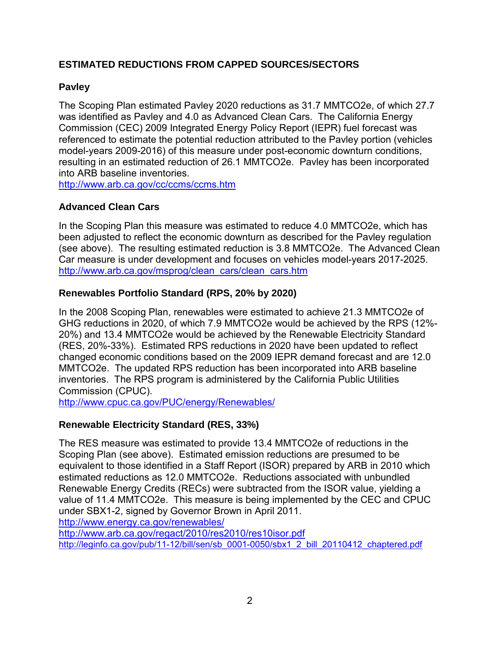## **ESTIMATED REDUCTIONS FROM CAPPED SOURCES/SECTORS**

## **Pavley**

The Scoping Plan estimated Pavley 2020 reductions as 31.7 MMTCO2e, of which 27.7 was identified as Pavley and 4.0 as Advanced Clean Cars. The California Energy Commission (CEC) 2009 Integrated Energy Policy Report (IEPR) fuel forecast was referenced to estimate the potential reduction attributed to the Pavley portion (vehicles model-years 2009-2016) of this measure under post-economic downturn conditions, resulting in an estimated reduction of 26.1 MMTCO2e. Pavley has been incorporated into ARB baseline inventories.

<http://www.arb.ca.gov/cc/ccms/ccms.htm>

## **Advanced Clean Cars**

In the Scoping Plan this measure was estimated to reduce 4.0 MMTCO2e, which has been adjusted to reflect the economic downturn as described for the Pavley regulation (see above). The resulting estimated reduction is 3.8 MMTCO2e. The Advanced Clean Car measure is under development and focuses on vehicles model-years 2017-2025. [http://www.arb.ca.gov/msprog/clean\\_cars/clean\\_cars.htm](http://www.arb.ca.gov/msprog/clean_cars/clean_cars.htm) 

## **Renewables Portfolio Standard (RPS, 20% by 2020)**

In the 2008 Scoping Plan, renewables were estimated to achieve 21.3 MMTCO2e of GHG reductions in 2020, of which 7.9 MMTCO2e would be achieved by the RPS (12%- 20%) and 13.4 MMTCO2e would be achieved by the Renewable Electricity Standard (RES, 20%-33%). Estimated RPS reductions in 2020 have been updated to reflect changed economic conditions based on the 2009 IEPR demand forecast and are 12.0 MMTCO2e. The updated RPS reduction has been incorporated into ARB baseline inventories. The RPS program is administered by the California Public Utilities Commission (CPUC).

<http://www.cpuc.ca.gov/PUC/energy/Renewables/>

## **Renewable Electricity Standard (RES, 33%)**

The RES measure was estimated to provide 13.4 MMTCO2e of reductions in the Scoping Plan (see above). Estimated emission reductions are presumed to be equivalent to those identified in a Staff Report (ISOR) prepared by ARB in 2010 which estimated reductions as 12.0 MMTCO2e. Reductions associated with unbundled Renewable Energy Credits (RECs) were subtracted from the ISOR value, yielding a value of 11.4 MMTCO2e. This measure is being implemented by the CEC and CPUC under SBX1-2, signed by Governor Brown in April 2011.

<http://www.energy.ca.gov/renewables/>

<http://www.arb.ca.gov/regact/2010/res2010/res10isor.pdf> [http://leginfo.ca.gov/pub/11-12/bill/sen/sb\\_0001-0050/sbx1\\_2\\_bill\\_20110412\\_chaptered.pdf](http://leginfo.ca.gov/pub/11-12/bill/sen/sb_0001-0050/sbx1_2_bill_20110412_chaptered.pdf)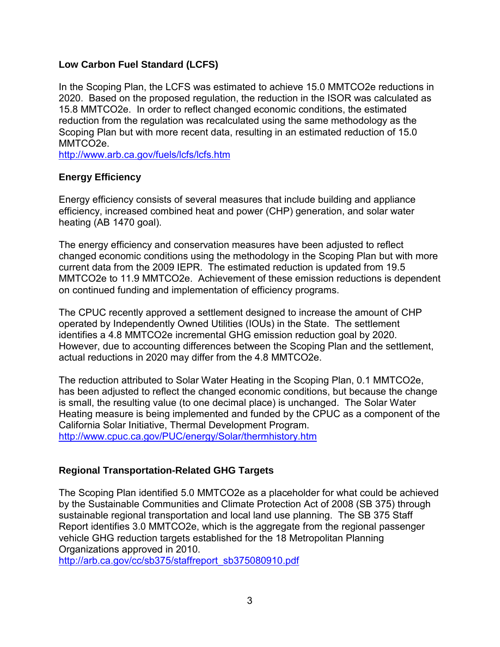### **Low Carbon Fuel Standard (LCFS)**

In the Scoping Plan, the LCFS was estimated to achieve 15.0 MMTCO2e reductions in 2020. Based on the proposed regulation, the reduction in the ISOR was calculated as 15.8 MMTCO2e. In order to reflect changed economic conditions, the estimated reduction from the regulation was recalculated using the same methodology as the Scoping Plan but with more recent data, resulting in an estimated reduction of 15.0 MMTCO2e.

<http://www.arb.ca.gov/fuels/lcfs/lcfs.htm>

## **Energy Efficiency**

Energy efficiency consists of several measures that include building and appliance efficiency, increased combined heat and power (CHP) generation, and solar water heating (AB 1470 goal).

The energy efficiency and conservation measures have been adjusted to reflect changed economic conditions using the methodology in the Scoping Plan but with more current data from the 2009 IEPR. The estimated reduction is updated from 19.5 MMTCO2e to 11.9 MMTCO2e. Achievement of these emission reductions is dependent on continued funding and implementation of efficiency programs.

The CPUC recently approved a settlement designed to increase the amount of CHP operated by Independently Owned Utilities (IOUs) in the State. The settlement identifies a 4.8 MMTCO2e incremental GHG emission reduction goal by 2020. However, due to accounting differences between the Scoping Plan and the settlement, actual reductions in 2020 may differ from the 4.8 MMTCO2e.

The reduction attributed to Solar Water Heating in the Scoping Plan, 0.1 MMTCO2e, has been adjusted to reflect the changed economic conditions, but because the change is small, the resulting value (to one decimal place) is unchanged. The Solar Water Heating measure is being implemented and funded by the CPUC as a component of the California Solar Initiative, Thermal Development Program. <http://www.cpuc.ca.gov/PUC/energy/Solar/thermhistory.htm>

## **Regional Transportation-Related GHG Targets**

The Scoping Plan identified 5.0 MMTCO2e as a placeholder for what could be achieved by the Sustainable Communities and Climate Protection Act of 2008 (SB 375) through sustainable regional transportation and local land use planning. The SB 375 Staff Report identifies 3.0 MMTCO2e, which is the aggregate from the regional passenger vehicle GHG reduction targets established for the 18 Metropolitan Planning Organizations approved in 2010.

[http://arb.ca.gov/cc/sb375/staffreport\\_sb375080910.pdf](http://arb.ca.gov/cc/sb375/staffreport_sb375080910.pdf)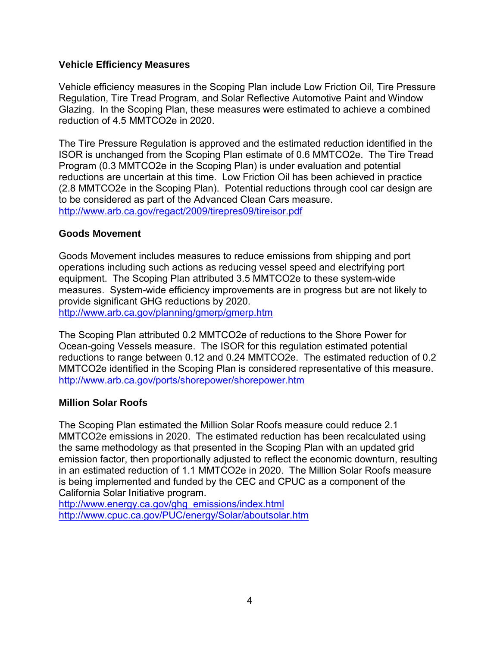### **Vehicle Efficiency Measures**

Vehicle efficiency measures in the Scoping Plan include Low Friction Oil, Tire Pressure Regulation, Tire Tread Program, and Solar Reflective Automotive Paint and Window Glazing. In the Scoping Plan, these measures were estimated to achieve a combined reduction of 4.5 MMTCO2e in 2020.

The Tire Pressure Regulation is approved and the estimated reduction identified in the ISOR is unchanged from the Scoping Plan estimate of 0.6 MMTCO2e. The Tire Tread Program (0.3 MMTCO2e in the Scoping Plan) is under evaluation and potential reductions are uncertain at this time. Low Friction Oil has been achieved in practice (2.8 MMTCO2e in the Scoping Plan). Potential reductions through cool car design are to be considered as part of the Advanced Clean Cars measure. <http://www.arb.ca.gov/regact/2009/tirepres09/tireisor.pdf>

### **Goods Movement**

Goods Movement includes measures to reduce emissions from shipping and port operations including such actions as reducing vessel speed and electrifying port equipment. The Scoping Plan attributed 3.5 MMTCO2e to these system-wide measures. System-wide efficiency improvements are in progress but are not likely to provide significant GHG reductions by 2020. <http://www.arb.ca.gov/planning/gmerp/gmerp.htm>

The Scoping Plan attributed 0.2 MMTCO2e of reductions to the Shore Power for Ocean-going Vessels measure. The ISOR for this regulation estimated potential reductions to range between 0.12 and 0.24 MMTCO2e. The estimated reduction of 0.2 MMTCO2e identified in the Scoping Plan is considered representative of this measure. <http://www.arb.ca.gov/ports/shorepower/shorepower.htm>

### **Million Solar Roofs**

The Scoping Plan estimated the Million Solar Roofs measure could reduce 2.1 MMTCO2e emissions in 2020. The estimated reduction has been recalculated using the same methodology as that presented in the Scoping Plan with an updated grid emission factor, then proportionally adjusted to reflect the economic downturn, resulting in an estimated reduction of 1.1 MMTCO2e in 2020. The Million Solar Roofs measure is being implemented and funded by the CEC and CPUC as a component of the California Solar Initiative program.

[http://www.energy.ca.gov/ghg\\_emissions/index.html](http://www.energy.ca.gov/ghg_emissions/index.html)  <http://www.cpuc.ca.gov/PUC/energy/Solar/aboutsolar.htm>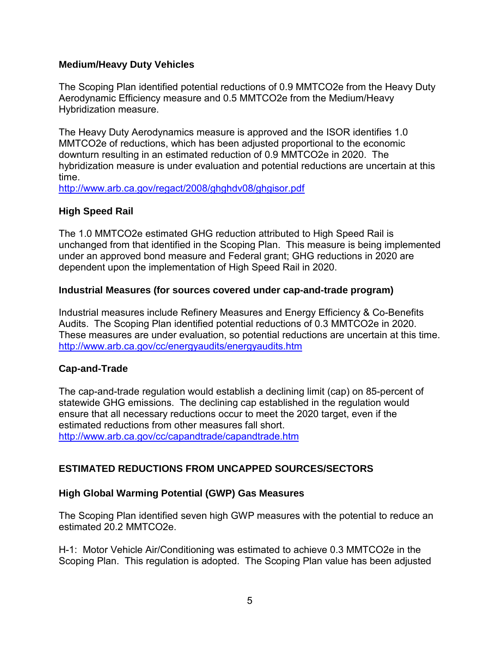### **Medium/Heavy Duty Vehicles**

The Scoping Plan identified potential reductions of 0.9 MMTCO2e from the Heavy Duty Aerodynamic Efficiency measure and 0.5 MMTCO2e from the Medium/Heavy Hybridization measure.

The Heavy Duty Aerodynamics measure is approved and the ISOR identifies 1.0 MMTCO2e of reductions, which has been adjusted proportional to the economic downturn resulting in an estimated reduction of 0.9 MMTCO2e in 2020. The hybridization measure is under evaluation and potential reductions are uncertain at this time.

<http://www.arb.ca.gov/regact/2008/ghghdv08/ghgisor.pdf>

## **High Speed Rail**

The 1.0 MMTCO2e estimated GHG reduction attributed to High Speed Rail is unchanged from that identified in the Scoping Plan. This measure is being implemented under an approved bond measure and Federal grant; GHG reductions in 2020 are dependent upon the implementation of High Speed Rail in 2020.

### **Industrial Measures (for sources covered under cap-and-trade program)**

Industrial measures include Refinery Measures and Energy Efficiency & Co-Benefits Audits. The Scoping Plan identified potential reductions of 0.3 MMTCO2e in 2020. These measures are under evaluation, so potential reductions are uncertain at this time. <http://www.arb.ca.gov/cc/energyaudits/energyaudits.htm>

## **Cap-and-Trade**

The cap-and-trade regulation would establish a declining limit (cap) on 85-percent of statewide GHG emissions. The declining cap established in the regulation would ensure that all necessary reductions occur to meet the 2020 target, even if the estimated reductions from other measures fall short. <http://www.arb.ca.gov/cc/capandtrade/capandtrade.htm>

## **ESTIMATED REDUCTIONS FROM UNCAPPED SOURCES/SECTORS**

## **High Global Warming Potential (GWP) Gas Measures**

The Scoping Plan identified seven high GWP measures with the potential to reduce an estimated 20.2 MMTCO2e.

H-1: Motor Vehicle Air/Conditioning was estimated to achieve 0.3 MMTCO2e in the Scoping Plan. This regulation is adopted. The Scoping Plan value has been adjusted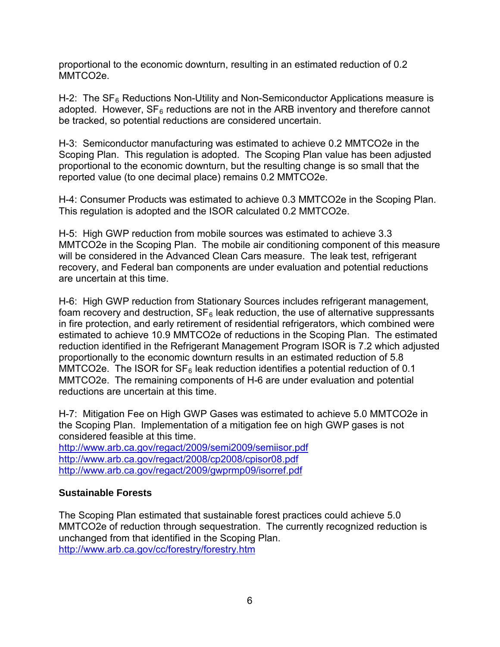proportional to the economic downturn, resulting in an estimated reduction of 0.2 MMTCO2e.

H-2: The  $SF_6$  Reductions Non-Utility and Non-Semiconductor Applications measure is adopted. However,  $SF<sub>6</sub>$  reductions are not in the ARB inventory and therefore cannot be tracked, so potential reductions are considered uncertain.

H-3: Semiconductor manufacturing was estimated to achieve 0.2 MMTCO2e in the Scoping Plan. This regulation is adopted. The Scoping Plan value has been adjusted proportional to the economic downturn, but the resulting change is so small that the reported value (to one decimal place) remains 0.2 MMTCO2e.

H-4: Consumer Products was estimated to achieve 0.3 MMTCO2e in the Scoping Plan. This regulation is adopted and the ISOR calculated 0.2 MMTCO2e.

H-5: High GWP reduction from mobile sources was estimated to achieve 3.3 MMTCO2e in the Scoping Plan. The mobile air conditioning component of this measure will be considered in the Advanced Clean Cars measure. The leak test, refrigerant recovery, and Federal ban components are under evaluation and potential reductions are uncertain at this time.

H-6: High GWP reduction from Stationary Sources includes refrigerant management, foam recovery and destruction,  $SF_6$  leak reduction, the use of alternative suppressants in fire protection, and early retirement of residential refrigerators, which combined were estimated to achieve 10.9 MMTCO2e of reductions in the Scoping Plan. The estimated reduction identified in the Refrigerant Management Program ISOR is 7.2 which adjusted proportionally to the economic downturn results in an estimated reduction of 5.8 MMTCO2e. The ISOR for  $SF_6$  leak reduction identifies a potential reduction of 0.1 MMTCO2e. The remaining components of H-6 are under evaluation and potential reductions are uncertain at this time.

H-7: Mitigation Fee on High GWP Gases was estimated to achieve 5.0 MMTCO2e in the Scoping Plan. Implementation of a mitigation fee on high GWP gases is not considered feasible at this time.

<http://www.arb.ca.gov/regact/2009/semi2009/semiisor.pdf> <http://www.arb.ca.gov/regact/2008/cp2008/cpisor08.pdf> <http://www.arb.ca.gov/regact/2009/gwprmp09/isorref.pdf>

## **Sustainable Forests**

The Scoping Plan estimated that sustainable forest practices could achieve 5.0 MMTCO2e of reduction through sequestration. The currently recognized reduction is unchanged from that identified in the Scoping Plan. <http://www.arb.ca.gov/cc/forestry/forestry.htm>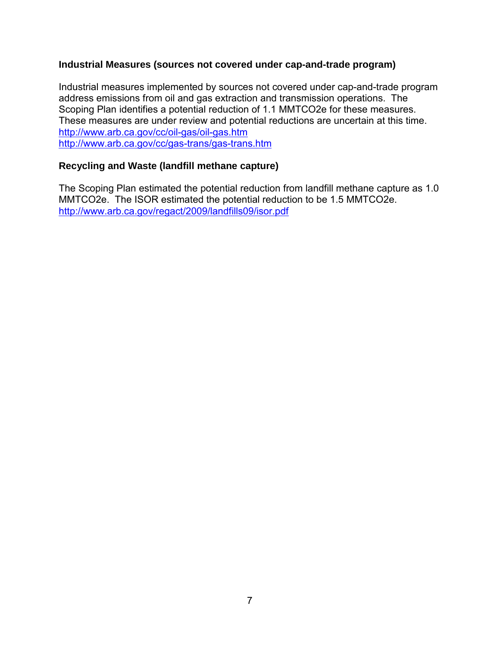### **Industrial Measures (sources not covered under cap-and-trade program)**

Industrial measures implemented by sources not covered under cap-and-trade program address emissions from oil and gas extraction and transmission operations. The Scoping Plan identifies a potential reduction of 1.1 MMTCO2e for these measures. These measures are under review and potential reductions are uncertain at this time. <http://www.arb.ca.gov/cc/oil-gas/oil-gas.htm> <http://www.arb.ca.gov/cc/gas-trans/gas-trans.htm>

### **Recycling and Waste (landfill methane capture)**

The Scoping Plan estimated the potential reduction from landfill methane capture as 1.0 MMTCO2e. The ISOR estimated the potential reduction to be 1.5 MMTCO2e. <http://www.arb.ca.gov/regact/2009/landfills09/isor.pdf>